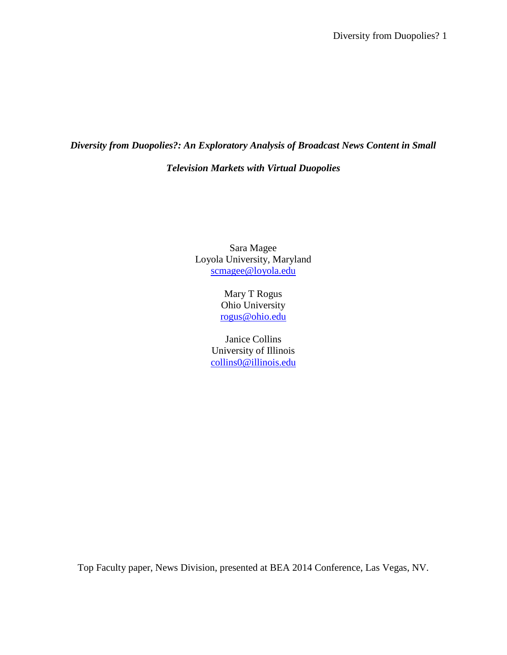# *Diversity from Duopolies?: An Exploratory Analysis of Broadcast News Content in Small Television Markets with Virtual Duopolies*

Sara Magee Loyola University, Maryland [scmagee@loyola.edu](mailto:scmagee@loyola.edu)

> Mary T Rogus Ohio University [rogus@ohio.edu](mailto:rogus@ohio.edu)

Janice Collins University of Illinois [collins0@illinois.edu](mailto:collins0@illinois.edu)

Top Faculty paper, News Division, presented at BEA 2014 Conference, Las Vegas, NV.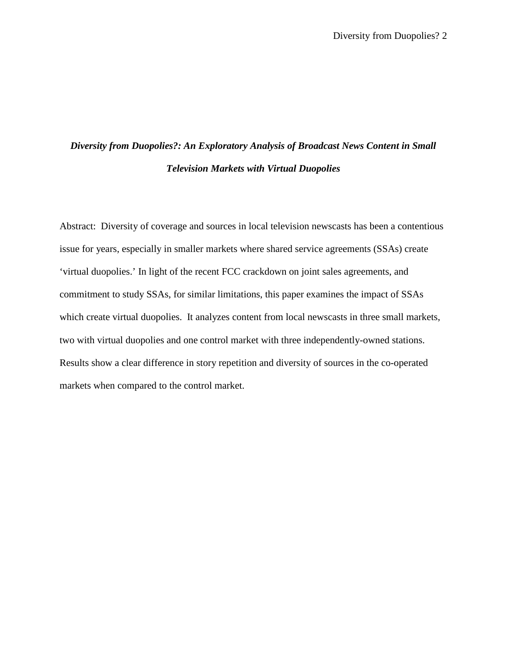# *Diversity from Duopolies?: An Exploratory Analysis of Broadcast News Content in Small Television Markets with Virtual Duopolies*

Abstract: Diversity of coverage and sources in local television newscasts has been a contentious issue for years, especially in smaller markets where shared service agreements (SSAs) create 'virtual duopolies.' In light of the recent FCC crackdown on joint sales agreements, and commitment to study SSAs, for similar limitations, this paper examines the impact of SSAs which create virtual duopolies. It analyzes content from local newscasts in three small markets, two with virtual duopolies and one control market with three independently-owned stations. Results show a clear difference in story repetition and diversity of sources in the co-operated markets when compared to the control market.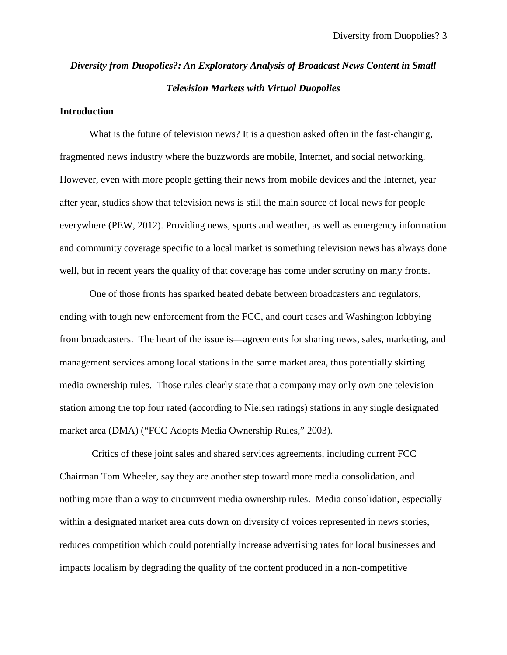# *Diversity from Duopolies?: An Exploratory Analysis of Broadcast News Content in Small Television Markets with Virtual Duopolies*

## **Introduction**

What is the future of television news? It is a question asked often in the fast-changing, fragmented news industry where the buzzwords are mobile, Internet, and social networking. However, even with more people getting their news from mobile devices and the Internet, year after year, studies show that television news is still the main source of local news for people everywhere (PEW, 2012). Providing news, sports and weather, as well as emergency information and community coverage specific to a local market is something television news has always done well, but in recent years the quality of that coverage has come under scrutiny on many fronts.

One of those fronts has sparked heated debate between broadcasters and regulators, ending with tough new enforcement from the FCC, and court cases and Washington lobbying from broadcasters. The heart of the issue is—agreements for sharing news, sales, marketing, and management services among local stations in the same market area, thus potentially skirting media ownership rules. Those rules clearly state that a company may only own one television station among the top four rated (according to Nielsen ratings) stations in any single designated market area (DMA) ("FCC Adopts Media Ownership Rules," 2003).

Critics of these joint sales and shared services agreements, including current FCC Chairman Tom Wheeler, say they are another step toward more media consolidation, and nothing more than a way to circumvent media ownership rules. Media consolidation, especially within a designated market area cuts down on diversity of voices represented in news stories, reduces competition which could potentially increase advertising rates for local businesses and impacts localism by degrading the quality of the content produced in a non-competitive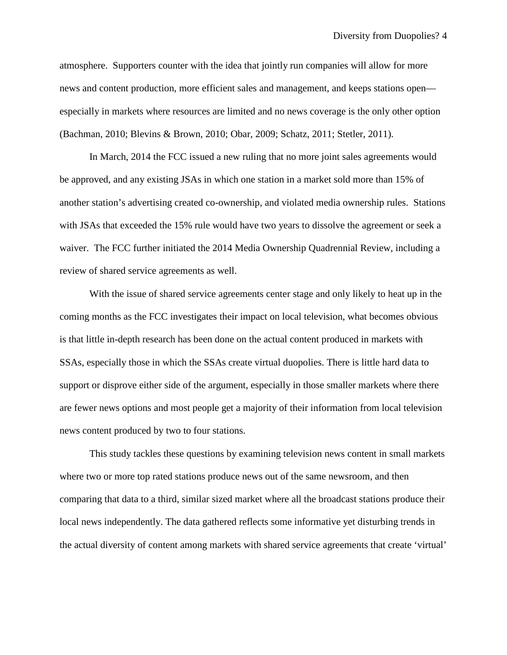atmosphere. Supporters counter with the idea that jointly run companies will allow for more news and content production, more efficient sales and management, and keeps stations open especially in markets where resources are limited and no news coverage is the only other option (Bachman, 2010; Blevins & Brown, 2010; Obar, 2009; Schatz, 2011; Stetler, 2011).

In March, 2014 the FCC issued a new ruling that no more joint sales agreements would be approved, and any existing JSAs in which one station in a market sold more than 15% of another station's advertising created co-ownership, and violated media ownership rules. Stations with JSAs that exceeded the 15% rule would have two years to dissolve the agreement or seek a waiver. The FCC further initiated the 2014 Media Ownership Quadrennial Review, including a review of shared service agreements as well.

With the issue of shared service agreements center stage and only likely to heat up in the coming months as the FCC investigates their impact on local television, what becomes obvious is that little in-depth research has been done on the actual content produced in markets with SSAs, especially those in which the SSAs create virtual duopolies. There is little hard data to support or disprove either side of the argument, especially in those smaller markets where there are fewer news options and most people get a majority of their information from local television news content produced by two to four stations.

This study tackles these questions by examining television news content in small markets where two or more top rated stations produce news out of the same newsroom, and then comparing that data to a third, similar sized market where all the broadcast stations produce their local news independently. The data gathered reflects some informative yet disturbing trends in the actual diversity of content among markets with shared service agreements that create 'virtual'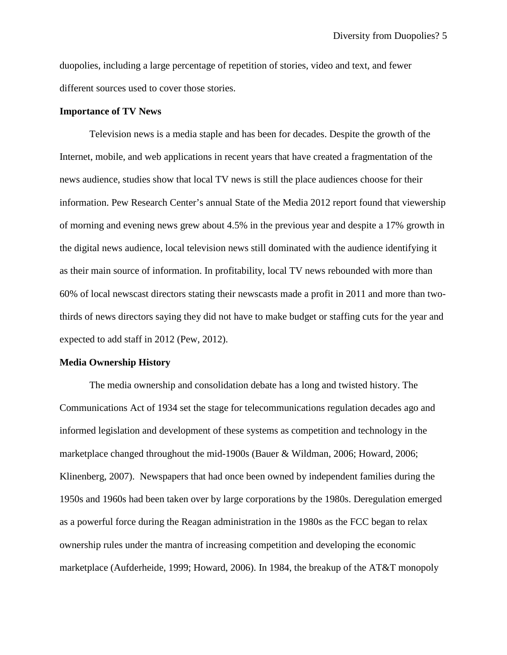duopolies, including a large percentage of repetition of stories, video and text, and fewer different sources used to cover those stories.

#### **Importance of TV News**

Television news is a media staple and has been for decades. Despite the growth of the Internet, mobile, and web applications in recent years that have created a fragmentation of the news audience, studies show that local TV news is still the place audiences choose for their information. Pew Research Center's annual State of the Media 2012 report found that viewership of morning and evening news grew about 4.5% in the previous year and despite a 17% growth in the digital news audience, local television news still dominated with the audience identifying it as their main source of information. In profitability, local TV news rebounded with more than 60% of local newscast directors stating their newscasts made a profit in 2011 and more than twothirds of news directors saying they did not have to make budget or staffing cuts for the year and expected to add staff in 2012 (Pew, 2012).

#### **Media Ownership History**

The media ownership and consolidation debate has a long and twisted history. The Communications Act of 1934 set the stage for telecommunications regulation decades ago and informed legislation and development of these systems as competition and technology in the marketplace changed throughout the mid-1900s (Bauer & Wildman, 2006; Howard, 2006; Klinenberg, 2007). Newspapers that had once been owned by independent families during the 1950s and 1960s had been taken over by large corporations by the 1980s. Deregulation emerged as a powerful force during the Reagan administration in the 1980s as the FCC began to relax ownership rules under the mantra of increasing competition and developing the economic marketplace (Aufderheide, 1999; Howard, 2006). In 1984, the breakup of the AT&T monopoly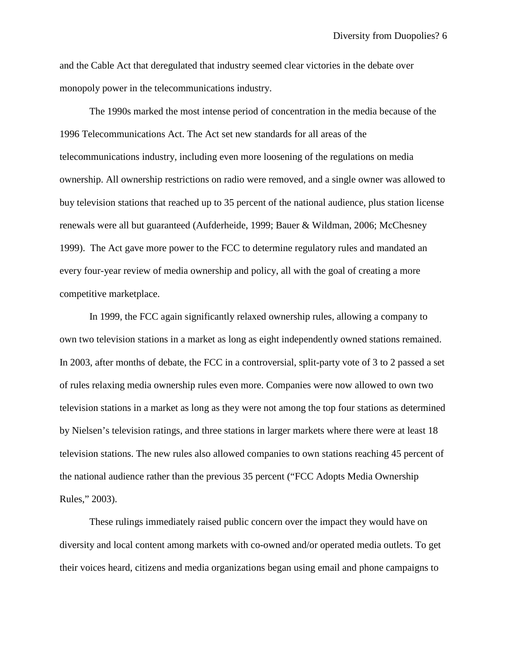and the Cable Act that deregulated that industry seemed clear victories in the debate over monopoly power in the telecommunications industry.

The 1990s marked the most intense period of concentration in the media because of the 1996 Telecommunications Act. The Act set new standards for all areas of the telecommunications industry, including even more loosening of the regulations on media ownership. All ownership restrictions on radio were removed, and a single owner was allowed to buy television stations that reached up to 35 percent of the national audience, plus station license renewals were all but guaranteed (Aufderheide, 1999; Bauer & Wildman, 2006; McChesney 1999). The Act gave more power to the FCC to determine regulatory rules and mandated an every four-year review of media ownership and policy, all with the goal of creating a more competitive marketplace.

In 1999, the FCC again significantly relaxed ownership rules, allowing a company to own two television stations in a market as long as eight independently owned stations remained. In 2003, after months of debate, the FCC in a controversial, split-party vote of 3 to 2 passed a set of rules relaxing media ownership rules even more. Companies were now allowed to own two television stations in a market as long as they were not among the top four stations as determined by Nielsen's television ratings, and three stations in larger markets where there were at least 18 television stations. The new rules also allowed companies to own stations reaching 45 percent of the national audience rather than the previous 35 percent ("FCC Adopts Media Ownership Rules," 2003).

These rulings immediately raised public concern over the impact they would have on diversity and local content among markets with co-owned and/or operated media outlets. To get their voices heard, citizens and media organizations began using email and phone campaigns to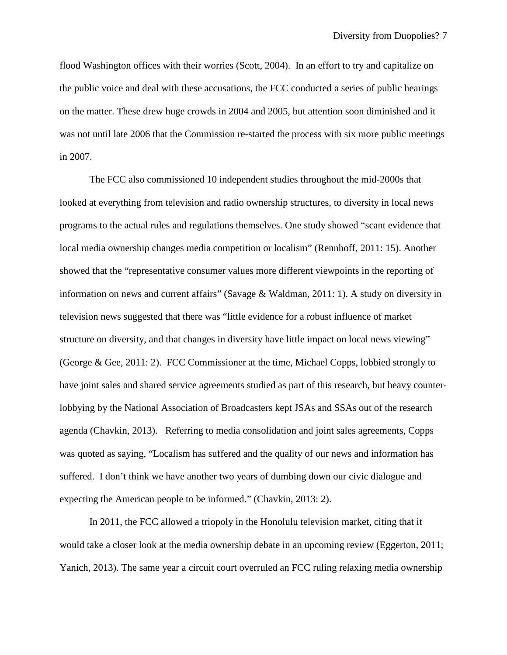flood Washington offices with their worries (Scott, 2004). In an effort to try and capitalize on the public voice and deal with these accusations, the FCC conducted a series of public hearings on the matter. These drew huge crowds in 2004 and 2005, but attention soon diminished and it was not until late 2006 that the Commission re-started the process with six more public meetings in 2007.

The FCC also commissioned 10 independent studies throughout the mid-2000s that looked at everything from television and radio ownership structures, to diversity in local news programs to the actual rules and regulations themselves. One study showed "scant evidence that local media ownership changes media competition or localism" (Rennhoff, 2011: 15). Another showed that the "representative consumer values more different viewpoints in the reporting of information on news and current affairs" (Savage & Waldman, 2011: 1). A study on diversity in television news suggested that there was "little evidence for a robust influence of market structure on diversity, and that changes in diversity have little impact on local news viewing" (George & Gee, 2011: 2). FCC Commissioner at the time, Michael Copps, lobbied strongly to have joint sales and shared service agreements studied as part of this research, but heavy counterlobbying by the National Association of Broadcasters kept JSAs and SSAs out of the research agenda (Chavkin, 2013). Referring to media consolidation and joint sales agreements, Copps was quoted as saying, "Localism has suffered and the quality of our news and information has suffered. I don't think we have another two years of dumbing down our civic dialogue and expecting the American people to be informed." (Chavkin, 2013: 2).

In 2011, the FCC allowed a triopoly in the Honolulu television market, citing that it would take a closer look at the media ownership debate in an upcoming review (Eggerton, 2011; Yanich, 2013). The same year a circuit court overruled an FCC ruling relaxing media ownership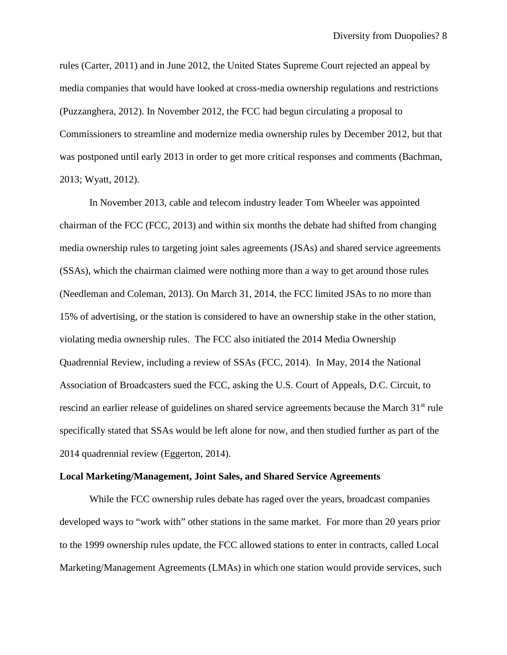rules (Carter, 2011) and in June 2012, the United States Supreme Court rejected an appeal by media companies that would have looked at cross-media ownership regulations and restrictions (Puzzanghera, 2012). In November 2012, the FCC had begun circulating a proposal to Commissioners to streamline and modernize media ownership rules by December 2012, but that was postponed until early 2013 in order to get more critical responses and comments (Bachman, 2013; Wyatt, 2012).

In November 2013, cable and telecom industry leader Tom Wheeler was appointed chairman of the FCC (FCC, 2013) and within six months the debate had shifted from changing media ownership rules to targeting joint sales agreements (JSAs) and shared service agreements (SSAs), which the chairman claimed were nothing more than a way to get around those rules (Needleman and Coleman, 2013). On March 31, 2014, the FCC limited JSAs to no more than 15% of advertising, or the station is considered to have an ownership stake in the other station, violating media ownership rules. The FCC also initiated the 2014 Media Ownership Quadrennial Review, including a review of SSAs (FCC, 2014). In May, 2014 the National Association of Broadcasters sued the FCC, asking the U.S. Court of Appeals, D.C. Circuit, to rescind an earlier release of guidelines on shared service agreements because the March 31<sup>st</sup> rule specifically stated that SSAs would be left alone for now, and then studied further as part of the 2014 quadrennial review (Eggerton, 2014).

#### **Local Marketing/Management, Joint Sales, and Shared Service Agreements**

While the FCC ownership rules debate has raged over the years, broadcast companies developed ways to "work with" other stations in the same market. For more than 20 years prior to the 1999 ownership rules update, the FCC allowed stations to enter in contracts, called Local Marketing/Management Agreements (LMAs) in which one station would provide services, such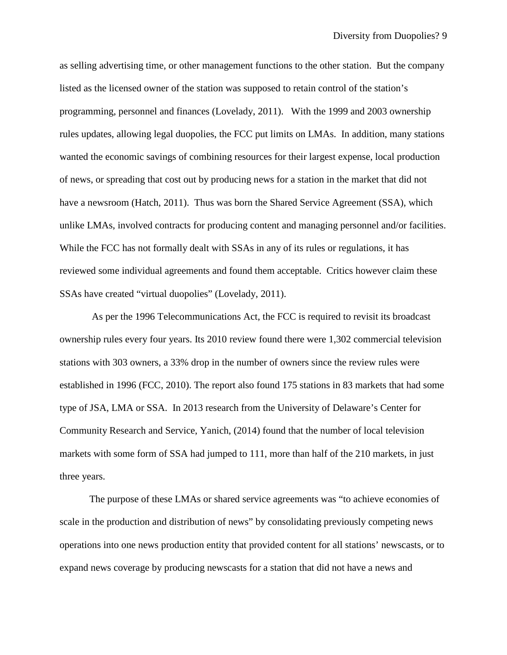as selling advertising time, or other management functions to the other station. But the company listed as the licensed owner of the station was supposed to retain control of the station's programming, personnel and finances (Lovelady, 2011). With the 1999 and 2003 ownership rules updates, allowing legal duopolies, the FCC put limits on LMAs. In addition, many stations wanted the economic savings of combining resources for their largest expense, local production of news, or spreading that cost out by producing news for a station in the market that did not have a newsroom (Hatch, 2011). Thus was born the Shared Service Agreement (SSA), which unlike LMAs, involved contracts for producing content and managing personnel and/or facilities. While the FCC has not formally dealt with SSAs in any of its rules or regulations, it has reviewed some individual agreements and found them acceptable. Critics however claim these SSAs have created "virtual duopolies" (Lovelady, 2011).

As per the 1996 Telecommunications Act, the FCC is required to revisit its broadcast ownership rules every four years. Its 2010 review found there were 1,302 commercial television stations with 303 owners, a 33% drop in the number of owners since the review rules were established in 1996 (FCC, 2010). The report also found 175 stations in 83 markets that had some type of JSA, LMA or SSA. In 2013 research from the University of Delaware's Center for Community Research and Service, Yanich, (2014) found that the number of local television markets with some form of SSA had jumped to 111, more than half of the 210 markets, in just three years.

The purpose of these LMAs or shared service agreements was "to achieve economies of scale in the production and distribution of news" by consolidating previously competing news operations into one news production entity that provided content for all stations' newscasts, or to expand news coverage by producing newscasts for a station that did not have a news and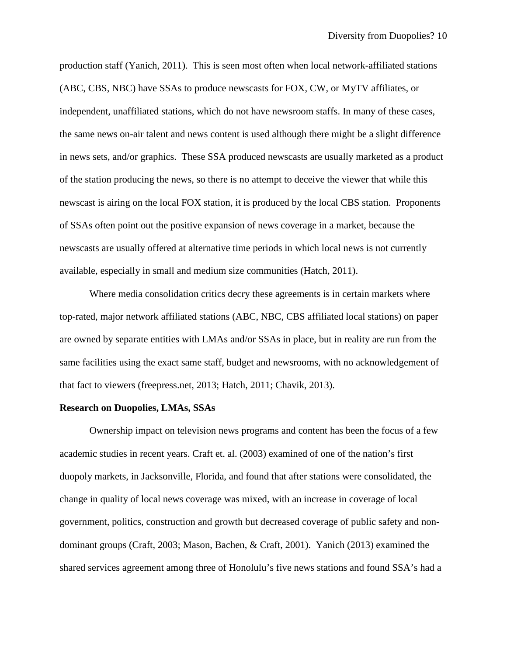production staff (Yanich, 2011). This is seen most often when local network-affiliated stations (ABC, CBS, NBC) have SSAs to produce newscasts for FOX, CW, or MyTV affiliates, or independent, unaffiliated stations, which do not have newsroom staffs. In many of these cases, the same news on-air talent and news content is used although there might be a slight difference in news sets, and/or graphics. These SSA produced newscasts are usually marketed as a product of the station producing the news, so there is no attempt to deceive the viewer that while this newscast is airing on the local FOX station, it is produced by the local CBS station. Proponents of SSAs often point out the positive expansion of news coverage in a market, because the newscasts are usually offered at alternative time periods in which local news is not currently available, especially in small and medium size communities (Hatch, 2011).

Where media consolidation critics decry these agreements is in certain markets where top-rated, major network affiliated stations (ABC, NBC, CBS affiliated local stations) on paper are owned by separate entities with LMAs and/or SSAs in place, but in reality are run from the same facilities using the exact same staff, budget and newsrooms, with no acknowledgement of that fact to viewers (freepress.net, 2013; Hatch, 2011; Chavik, 2013).

## **Research on Duopolies, LMAs, SSAs**

Ownership impact on television news programs and content has been the focus of a few academic studies in recent years. Craft et. al. (2003) examined of one of the nation's first duopoly markets, in Jacksonville, Florida, and found that after stations were consolidated, the change in quality of local news coverage was mixed, with an increase in coverage of local government, politics, construction and growth but decreased coverage of public safety and nondominant groups (Craft, 2003; Mason, Bachen, & Craft, 2001). Yanich (2013) examined the shared services agreement among three of Honolulu's five news stations and found SSA's had a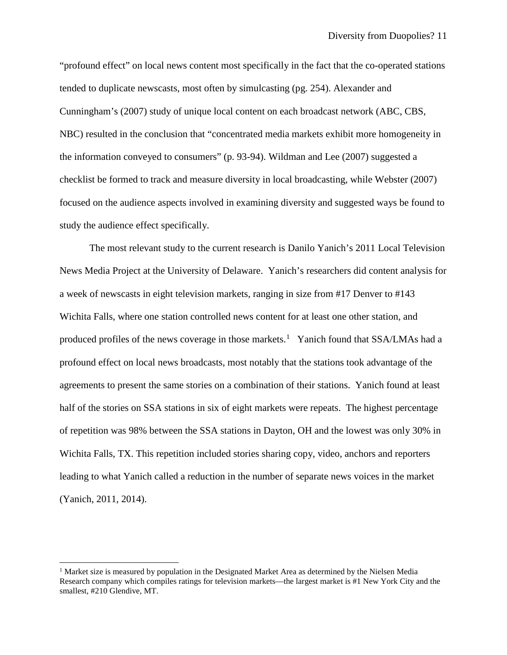"profound effect" on local news content most specifically in the fact that the co-operated stations tended to duplicate newscasts, most often by simulcasting (pg. 254). Alexander and Cunningham's (2007) study of unique local content on each broadcast network (ABC, CBS, NBC) resulted in the conclusion that "concentrated media markets exhibit more homogeneity in the information conveyed to consumers" (p. 93-94). Wildman and Lee (2007) suggested a checklist be formed to track and measure diversity in local broadcasting, while Webster (2007) focused on the audience aspects involved in examining diversity and suggested ways be found to study the audience effect specifically.

The most relevant study to the current research is Danilo Yanich's 2011 Local Television News Media Project at the University of Delaware. Yanich's researchers did content analysis for a week of newscasts in eight television markets, ranging in size from #17 Denver to #143 Wichita Falls, where one station controlled news content for at least one other station, and produced profiles of the news coverage in those markets.<sup>[1](#page-10-0)</sup> Yanich found that SSA/LMAs had a profound effect on local news broadcasts, most notably that the stations took advantage of the agreements to present the same stories on a combination of their stations. Yanich found at least half of the stories on SSA stations in six of eight markets were repeats. The highest percentage of repetition was 98% between the SSA stations in Dayton, OH and the lowest was only 30% in Wichita Falls, TX. This repetition included stories sharing copy, video, anchors and reporters leading to what Yanich called a reduction in the number of separate news voices in the market (Yanich, 2011, 2014).

<span id="page-10-0"></span><sup>&</sup>lt;sup>1</sup> Market size is measured by population in the Designated Market Area as determined by the Nielsen Media Research company which compiles ratings for television markets—the largest market is #1 New York City and the smallest, #210 Glendive, MT.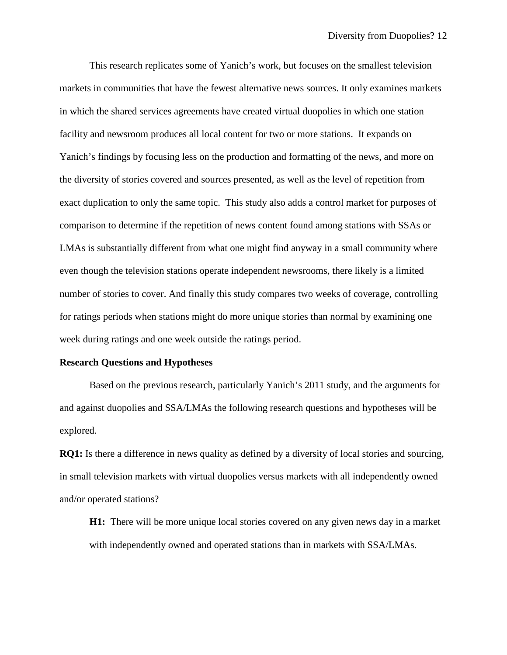This research replicates some of Yanich's work, but focuses on the smallest television markets in communities that have the fewest alternative news sources. It only examines markets in which the shared services agreements have created virtual duopolies in which one station facility and newsroom produces all local content for two or more stations. It expands on Yanich's findings by focusing less on the production and formatting of the news, and more on the diversity of stories covered and sources presented, as well as the level of repetition from exact duplication to only the same topic. This study also adds a control market for purposes of comparison to determine if the repetition of news content found among stations with SSAs or LMAs is substantially different from what one might find anyway in a small community where even though the television stations operate independent newsrooms, there likely is a limited number of stories to cover. And finally this study compares two weeks of coverage, controlling for ratings periods when stations might do more unique stories than normal by examining one week during ratings and one week outside the ratings period.

#### **Research Questions and Hypotheses**

Based on the previous research, particularly Yanich's 2011 study, and the arguments for and against duopolies and SSA/LMAs the following research questions and hypotheses will be explored.

**RQ1:** Is there a difference in news quality as defined by a diversity of local stories and sourcing, in small television markets with virtual duopolies versus markets with all independently owned and/or operated stations?

**H1:** There will be more unique local stories covered on any given news day in a market with independently owned and operated stations than in markets with SSA/LMAs.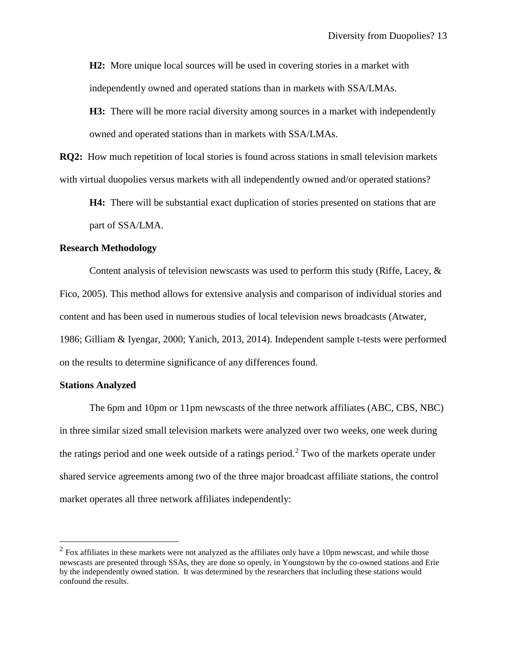**H2:** More unique local sources will be used in covering stories in a market with independently owned and operated stations than in markets with SSA/LMAs.

**H3:** There will be more racial diversity among sources in a market with independently owned and operated stations than in markets with SSA/LMAs.

**RQ2:** How much repetition of local stories is found across stations in small television markets with virtual duopolies versus markets with all independently owned and/or operated stations?

**H4:** There will be substantial exact duplication of stories presented on stations that are part of SSA/LMA.

## **Research Methodology**

Content analysis of television newscasts was used to perform this study (Riffe, Lacey,  $\&$ Fico, 2005). This method allows for extensive analysis and comparison of individual stories and content and has been used in numerous studies of local television news broadcasts (Atwater, 1986; Gilliam & Iyengar, 2000; Yanich, 2013, 2014). Independent sample t-tests were performed on the results to determine significance of any differences found.

### **Stations Analyzed**

The 6pm and 10pm or 11pm newscasts of the three network affiliates (ABC, CBS, NBC) in three similar sized small television markets were analyzed over two weeks, one week during the ratings period and one week outside of a ratings period.<sup>[2](#page-12-0)</sup> Two of the markets operate under shared service agreements among two of the three major broadcast affiliate stations, the control market operates all three network affiliates independently:

<span id="page-12-0"></span> $2$  Fox affiliates in these markets were not analyzed as the affiliates only have a 10pm newscast, and while those newscasts are presented through SSAs, they are done so openly, in Youngstown by the co-owned stations and Erie by the independently owned station. It was determined by the researchers that including these stations would confound the results.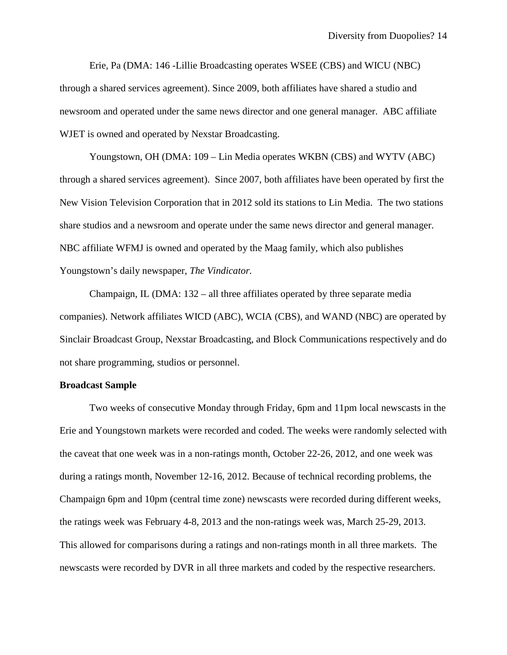Erie, Pa (DMA: 146 -Lillie Broadcasting operates WSEE (CBS) and WICU (NBC) through a shared services agreement). Since 2009, both affiliates have shared a studio and newsroom and operated under the same news director and one general manager. ABC affiliate WJET is owned and operated by Nexstar Broadcasting.

Youngstown, OH (DMA: 109 – Lin Media operates WKBN (CBS) and WYTV (ABC) through a shared services agreement). Since 2007, both affiliates have been operated by first the New Vision Television Corporation that in 2012 sold its stations to Lin Media. The two stations share studios and a newsroom and operate under the same news director and general manager. NBC affiliate WFMJ is owned and operated by the Maag family, which also publishes Youngstown's daily newspaper, *The Vindicator.*

Champaign, IL ( $DMA: 132 - all$  three affiliates operated by three separate media companies). Network affiliates WICD (ABC), WCIA (CBS), and WAND (NBC) are operated by Sinclair Broadcast Group, Nexstar Broadcasting, and Block Communications respectively and do not share programming, studios or personnel.

## **Broadcast Sample**

Two weeks of consecutive Monday through Friday, 6pm and 11pm local newscasts in the Erie and Youngstown markets were recorded and coded. The weeks were randomly selected with the caveat that one week was in a non-ratings month, October 22-26, 2012, and one week was during a ratings month, November 12-16, 2012. Because of technical recording problems, the Champaign 6pm and 10pm (central time zone) newscasts were recorded during different weeks, the ratings week was February 4-8, 2013 and the non-ratings week was, March 25-29, 2013. This allowed for comparisons during a ratings and non-ratings month in all three markets. The newscasts were recorded by DVR in all three markets and coded by the respective researchers.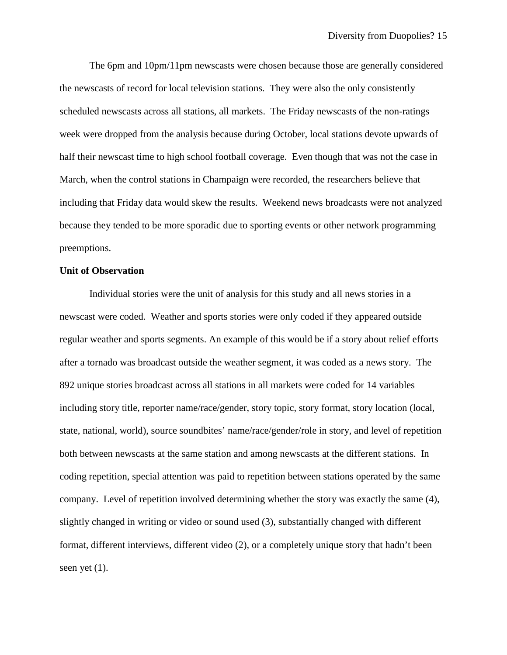The 6pm and 10pm/11pm newscasts were chosen because those are generally considered the newscasts of record for local television stations. They were also the only consistently scheduled newscasts across all stations, all markets. The Friday newscasts of the non-ratings week were dropped from the analysis because during October, local stations devote upwards of half their newscast time to high school football coverage. Even though that was not the case in March, when the control stations in Champaign were recorded, the researchers believe that including that Friday data would skew the results. Weekend news broadcasts were not analyzed because they tended to be more sporadic due to sporting events or other network programming preemptions.

## **Unit of Observation**

Individual stories were the unit of analysis for this study and all news stories in a newscast were coded. Weather and sports stories were only coded if they appeared outside regular weather and sports segments. An example of this would be if a story about relief efforts after a tornado was broadcast outside the weather segment, it was coded as a news story. The 892 unique stories broadcast across all stations in all markets were coded for 14 variables including story title, reporter name/race/gender, story topic, story format, story location (local, state, national, world), source soundbites' name/race/gender/role in story, and level of repetition both between newscasts at the same station and among newscasts at the different stations. In coding repetition, special attention was paid to repetition between stations operated by the same company. Level of repetition involved determining whether the story was exactly the same (4), slightly changed in writing or video or sound used (3), substantially changed with different format, different interviews, different video (2), or a completely unique story that hadn't been seen yet  $(1)$ .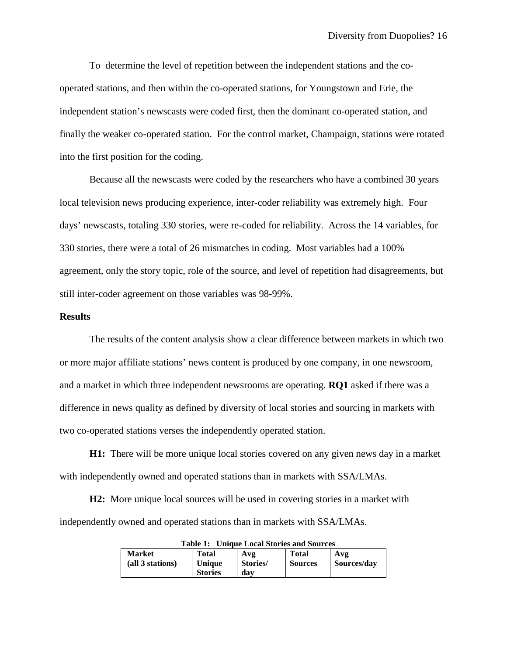To determine the level of repetition between the independent stations and the cooperated stations, and then within the co-operated stations, for Youngstown and Erie, the independent station's newscasts were coded first, then the dominant co-operated station, and finally the weaker co-operated station. For the control market, Champaign, stations were rotated into the first position for the coding.

Because all the newscasts were coded by the researchers who have a combined 30 years local television news producing experience, inter-coder reliability was extremely high. Four days' newscasts, totaling 330 stories, were re-coded for reliability. Across the 14 variables, for 330 stories, there were a total of 26 mismatches in coding. Most variables had a 100% agreement, only the story topic, role of the source, and level of repetition had disagreements, but still inter-coder agreement on those variables was 98-99%.

## **Results**

The results of the content analysis show a clear difference between markets in which two or more major affiliate stations' news content is produced by one company, in one newsroom, and a market in which three independent newsrooms are operating. **RQ1** asked if there was a difference in news quality as defined by diversity of local stories and sourcing in markets with two co-operated stations verses the independently operated station.

**H1:** There will be more unique local stories covered on any given news day in a market with independently owned and operated stations than in markets with SSA/LMAs.

**H2:** More unique local sources will be used in covering stories in a market with independently owned and operated stations than in markets with SSA/LMAs.

| taviv to<br><b>Cinque Local Biorres and Bources</b> |                |          |                |             |  |  |  |  |
|-----------------------------------------------------|----------------|----------|----------------|-------------|--|--|--|--|
| <b>Market</b>                                       | <b>Total</b>   | Avg      | <b>Total</b>   | Avg         |  |  |  |  |
| (all 3 stations)                                    | Unique         | Stories/ | <b>Sources</b> | Sources/day |  |  |  |  |
|                                                     | <b>Stories</b> | dav      |                |             |  |  |  |  |

 **Table 1: Unique Local Stories and Sources**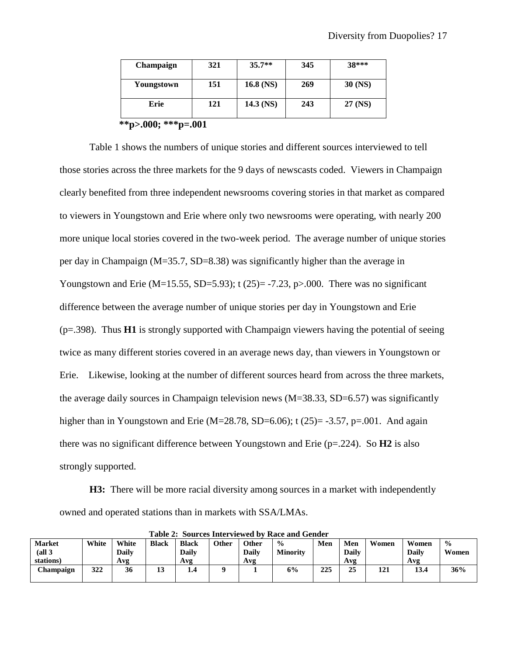| <b>Champaign</b> | 321 | $35.7**$    | 345 | 38***     |
|------------------|-----|-------------|-----|-----------|
| Youngstown       | 151 | $16.8$ (NS) | 269 | $30$ (NS) |
| Erie             | 121 | $14.3$ (NS) | 243 | 27 (NS)   |
| **-- በበበ. ***-   | ሰሰ1 |             |     |           |

**\*\*p>.000; \*\*\*p=.001**

Table 1 shows the numbers of unique stories and different sources interviewed to tell those stories across the three markets for the 9 days of newscasts coded. Viewers in Champaign clearly benefited from three independent newsrooms covering stories in that market as compared to viewers in Youngstown and Erie where only two newsrooms were operating, with nearly 200 more unique local stories covered in the two-week period. The average number of unique stories per day in Champaign (M=35.7, SD=8.38) was significantly higher than the average in Youngstown and Erie (M=15.55, SD=5.93); t (25)= -7.23, p>.000. There was no significant difference between the average number of unique stories per day in Youngstown and Erie (p=.398). Thus **H1** is strongly supported with Champaign viewers having the potential of seeing twice as many different stories covered in an average news day, than viewers in Youngstown or Erie. Likewise, looking at the number of different sources heard from across the three markets, the average daily sources in Champaign television news (M=38.33, SD=6.57) was significantly higher than in Youngstown and Erie (M=28.78, SD=6.06); t (25)= -3.57, p=.001. And again there was no significant difference between Youngstown and Erie ( $p=224$ ). So **H2** is also strongly supported.

**H3:** There will be more racial diversity among sources in a market with independently owned and operated stations than in markets with SSA/LMAs.

| Table 2: Sources Interviewed by Race and Gender |       |       |              |              |       |       |                 |     |       |       |       |               |
|-------------------------------------------------|-------|-------|--------------|--------------|-------|-------|-----------------|-----|-------|-------|-------|---------------|
| <b>Market</b>                                   | White | White | <b>Black</b> | <b>Black</b> | Other | Other | $\frac{0}{0}$   | Men | Men   | Women | Women | $\frac{0}{0}$ |
| (all <sub>3</sub> )                             |       | Daily |              | Daily        |       | Daily | <b>Minority</b> |     | Daily |       | Daily | Women         |
| stations)                                       |       | Avg   |              | Avg          |       | Avg   |                 |     | Avg   |       | Avg   |               |
| Champaign                                       | 322   | 36    | 19           | --           |       |       | 6%              | 225 | 25    | 121   | 13.4  | 36%           |
|                                                 |       |       |              |              |       |       |                 |     |       |       |       |               |

**Table 2: Sources Interviewed by Race and Gender**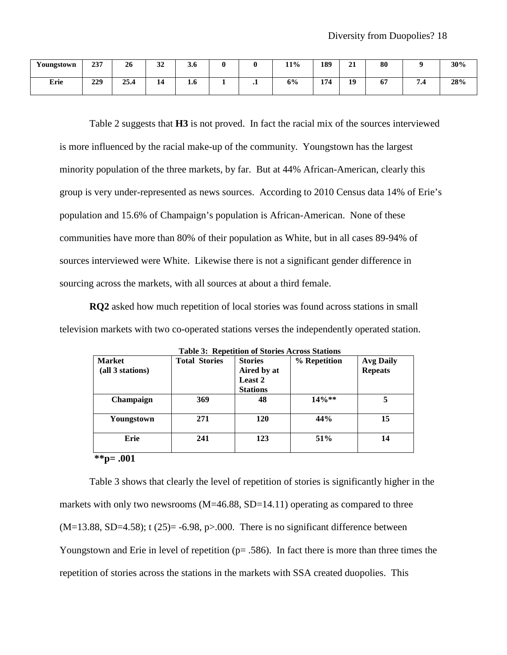| Youngstown | 237 | 26   | $\sim$<br>◡                         | -<br><b>.0</b> |   |         | 11% | 189              | $\sim$<br>41 | 80           |           | 30% |
|------------|-----|------|-------------------------------------|----------------|---|---------|-----|------------------|--------------|--------------|-----------|-----|
| Erie       | 229 | 25.4 | -<br>$\overline{\mathcal{L}}$<br>-- | 1.0            | - | $\cdot$ | 6%  | 171<br>,,<br>. . | 19<br>┻      | $\mathbf{p}$ | $\cdot$ . | 28% |

Table 2 suggests that **H3** is not proved. In fact the racial mix of the sources interviewed is more influenced by the racial make-up of the community. Youngstown has the largest minority population of the three markets, by far. But at 44% African-American, clearly this group is very under-represented as news sources. According to 2010 Census data 14% of Erie's population and 15.6% of Champaign's population is African-American. None of these communities have more than 80% of their population as White, but in all cases 89-94% of sources interviewed were White. Likewise there is not a significant gender difference in sourcing across the markets, with all sources at about a third female.

**RQ2** asked how much repetition of local stories was found across stations in small television markets with two co-operated stations verses the independently operated station.

| <b>Market</b><br>(all 3 stations) | <b>Total Stories</b> | <b>Stories</b><br>Aired by at<br>Least 2<br><b>Stations</b> | % Repetition | <b>Avg Daily</b><br><b>Repeats</b> |
|-----------------------------------|----------------------|-------------------------------------------------------------|--------------|------------------------------------|
| Champaign                         | 369                  | 48                                                          | $14\%**$     |                                    |
| Youngstown                        | 271                  | 120                                                         | 44%          | 15                                 |
| Erie                              | 241                  | 123                                                         | 51%          | 14                                 |
| $-2 - 2 - 2 - 2$<br>$\mathbf{A}$  |                      |                                                             |              |                                    |

**Table 3: Repetition of Stories Across Stations**

**\*\*p= .001**

Table 3 shows that clearly the level of repetition of stories is significantly higher in the markets with only two newsrooms (M=46.88, SD=14.11) operating as compared to three  $(M=13.88, SD=4.58)$ ; t  $(25)= -6.98, p>0.00$ . There is no significant difference between Youngstown and Erie in level of repetition ( $p = .586$ ). In fact there is more than three times the repetition of stories across the stations in the markets with SSA created duopolies. This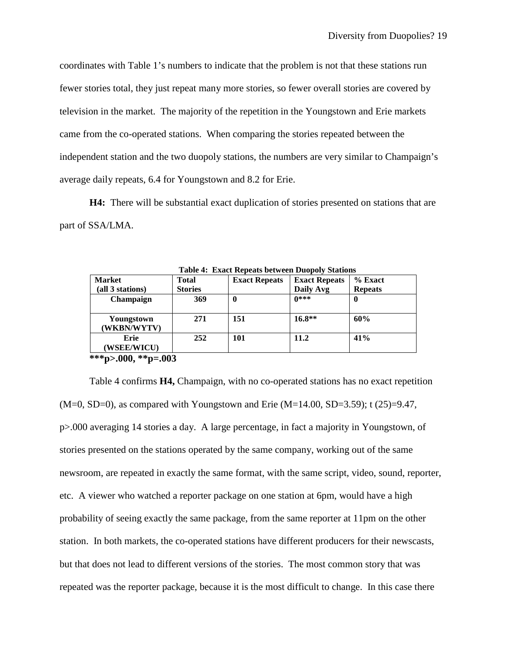coordinates with Table 1's numbers to indicate that the problem is not that these stations run fewer stories total, they just repeat many more stories, so fewer overall stories are covered by television in the market. The majority of the repetition in the Youngstown and Erie markets came from the co-operated stations. When comparing the stories repeated between the independent station and the two duopoly stations, the numbers are very similar to Champaign's average daily repeats, 6.4 for Youngstown and 8.2 for Erie.

**H4:** There will be substantial exact duplication of stories presented on stations that are part of SSA/LMA.

| Table 4. Exact Repeats between Duopoly Blations |                |                      |                      |                |  |  |  |  |
|-------------------------------------------------|----------------|----------------------|----------------------|----------------|--|--|--|--|
| <b>Market</b>                                   | <b>Total</b>   | <b>Exact Repeats</b> | <b>Exact Repeats</b> | $%$ Exact      |  |  |  |  |
| (all 3 stations)                                | <b>Stories</b> |                      | Daily Avg            | <b>Repeats</b> |  |  |  |  |
| Champaign                                       | 369            | 0                    | $0***$               | 0              |  |  |  |  |
| Youngstown<br>(WKBN/WYTV)                       | 271            | 151                  | $16.8**$             | 60%            |  |  |  |  |
| Erie<br>(WSEE/WICU)                             | 252            | 101                  | 11.2                 | 41%            |  |  |  |  |
| ***p>.000, **p=.003                             |                |                      |                      |                |  |  |  |  |

**Table 4: Exact Repeats between Duopoly Stations**

Table 4 confirms **H4,** Champaign, with no co-operated stations has no exact repetition  $(M=0, SD=0)$ , as compared with Youngstown and Erie  $(M=14.00, SD=3.59)$ ; t (25)=9.47, p>.000 averaging 14 stories a day. A large percentage, in fact a majority in Youngstown, of stories presented on the stations operated by the same company, working out of the same newsroom, are repeated in exactly the same format, with the same script, video, sound, reporter, etc. A viewer who watched a reporter package on one station at 6pm, would have a high probability of seeing exactly the same package, from the same reporter at 11pm on the other station. In both markets, the co-operated stations have different producers for their newscasts, but that does not lead to different versions of the stories. The most common story that was repeated was the reporter package, because it is the most difficult to change. In this case there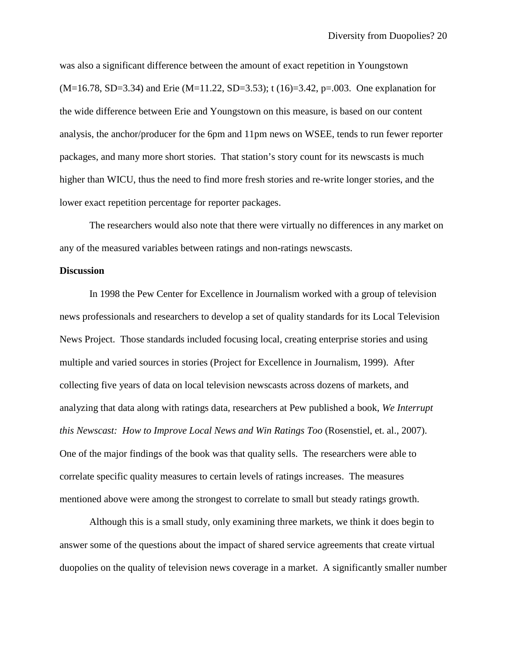was also a significant difference between the amount of exact repetition in Youngstown  $(M=16.78, SD=3.34)$  and Erie  $(M=11.22, SD=3.53)$ ; t  $(16)=3.42, p=.003$ . One explanation for the wide difference between Erie and Youngstown on this measure, is based on our content analysis, the anchor/producer for the 6pm and 11pm news on WSEE, tends to run fewer reporter packages, and many more short stories. That station's story count for its newscasts is much higher than WICU, thus the need to find more fresh stories and re-write longer stories, and the lower exact repetition percentage for reporter packages.

The researchers would also note that there were virtually no differences in any market on any of the measured variables between ratings and non-ratings newscasts.

## **Discussion**

In 1998 the Pew Center for Excellence in Journalism worked with a group of television news professionals and researchers to develop a set of quality standards for its Local Television News Project. Those standards included focusing local, creating enterprise stories and using multiple and varied sources in stories (Project for Excellence in Journalism, 1999). After collecting five years of data on local television newscasts across dozens of markets, and analyzing that data along with ratings data, researchers at Pew published a book, *We Interrupt this Newscast: How to Improve Local News and Win Ratings Too* (Rosenstiel, et. al., 2007). One of the major findings of the book was that quality sells. The researchers were able to correlate specific quality measures to certain levels of ratings increases. The measures mentioned above were among the strongest to correlate to small but steady ratings growth.

Although this is a small study, only examining three markets, we think it does begin to answer some of the questions about the impact of shared service agreements that create virtual duopolies on the quality of television news coverage in a market. A significantly smaller number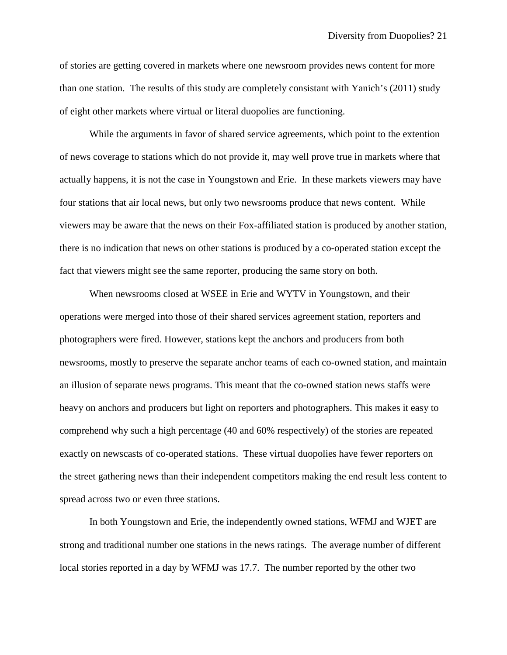of stories are getting covered in markets where one newsroom provides news content for more than one station. The results of this study are completely consistant with Yanich's (2011) study of eight other markets where virtual or literal duopolies are functioning.

While the arguments in favor of shared service agreements, which point to the extention of news coverage to stations which do not provide it, may well prove true in markets where that actually happens, it is not the case in Youngstown and Erie. In these markets viewers may have four stations that air local news, but only two newsrooms produce that news content. While viewers may be aware that the news on their Fox-affiliated station is produced by another station, there is no indication that news on other stations is produced by a co-operated station except the fact that viewers might see the same reporter, producing the same story on both.

When newsrooms closed at WSEE in Erie and WYTV in Youngstown, and their operations were merged into those of their shared services agreement station, reporters and photographers were fired. However, stations kept the anchors and producers from both newsrooms, mostly to preserve the separate anchor teams of each co-owned station, and maintain an illusion of separate news programs. This meant that the co-owned station news staffs were heavy on anchors and producers but light on reporters and photographers. This makes it easy to comprehend why such a high percentage (40 and 60% respectively) of the stories are repeated exactly on newscasts of co-operated stations. These virtual duopolies have fewer reporters on the street gathering news than their independent competitors making the end result less content to spread across two or even three stations.

In both Youngstown and Erie, the independently owned stations, WFMJ and WJET are strong and traditional number one stations in the news ratings. The average number of different local stories reported in a day by WFMJ was 17.7. The number reported by the other two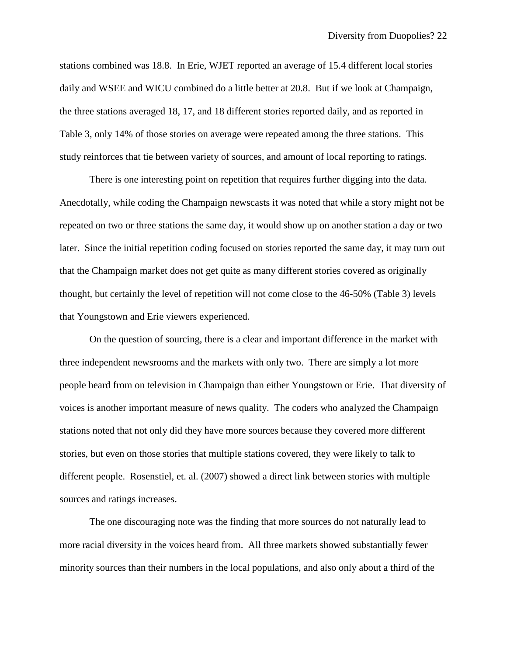stations combined was 18.8. In Erie, WJET reported an average of 15.4 different local stories daily and WSEE and WICU combined do a little better at 20.8. But if we look at Champaign, the three stations averaged 18, 17, and 18 different stories reported daily, and as reported in Table 3, only 14% of those stories on average were repeated among the three stations. This study reinforces that tie between variety of sources, and amount of local reporting to ratings.

There is one interesting point on repetition that requires further digging into the data. Anecdotally, while coding the Champaign newscasts it was noted that while a story might not be repeated on two or three stations the same day, it would show up on another station a day or two later. Since the initial repetition coding focused on stories reported the same day, it may turn out that the Champaign market does not get quite as many different stories covered as originally thought, but certainly the level of repetition will not come close to the 46-50% (Table 3) levels that Youngstown and Erie viewers experienced.

On the question of sourcing, there is a clear and important difference in the market with three independent newsrooms and the markets with only two. There are simply a lot more people heard from on television in Champaign than either Youngstown or Erie. That diversity of voices is another important measure of news quality. The coders who analyzed the Champaign stations noted that not only did they have more sources because they covered more different stories, but even on those stories that multiple stations covered, they were likely to talk to different people. Rosenstiel, et. al. (2007) showed a direct link between stories with multiple sources and ratings increases.

The one discouraging note was the finding that more sources do not naturally lead to more racial diversity in the voices heard from. All three markets showed substantially fewer minority sources than their numbers in the local populations, and also only about a third of the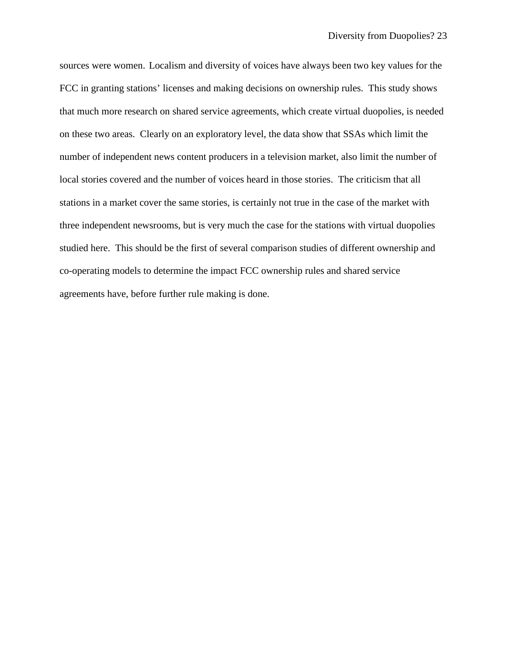sources were women. Localism and diversity of voices have always been two key values for the FCC in granting stations' licenses and making decisions on ownership rules. This study shows that much more research on shared service agreements, which create virtual duopolies, is needed on these two areas. Clearly on an exploratory level, the data show that SSAs which limit the number of independent news content producers in a television market, also limit the number of local stories covered and the number of voices heard in those stories. The criticism that all stations in a market cover the same stories, is certainly not true in the case of the market with three independent newsrooms, but is very much the case for the stations with virtual duopolies studied here. This should be the first of several comparison studies of different ownership and co-operating models to determine the impact FCC ownership rules and shared service agreements have, before further rule making is done.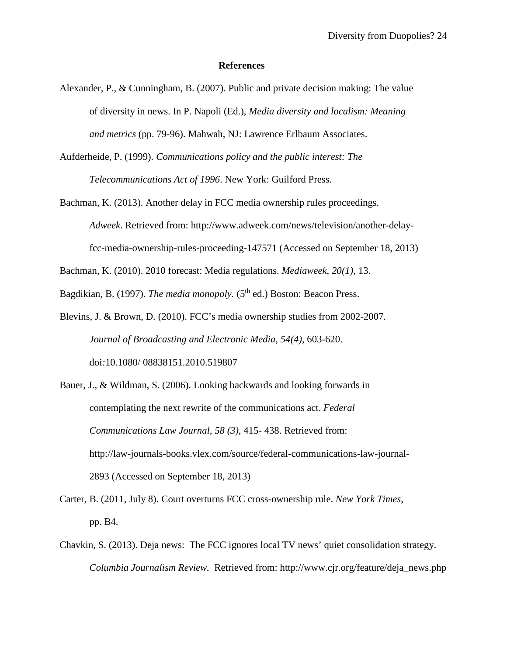### **References**

- Alexander, P., & Cunningham, B. (2007). Public and private decision making: The value of diversity in news. In P. Napoli (Ed.), *Media diversity and localism: Meaning and metrics* (pp. 79-96). Mahwah, NJ: Lawrence Erlbaum Associates.
- Aufderheide, P. (1999). *Communications policy and the public interest: The Telecommunications Act of 1996*. New York: Guilford Press.
- Bachman, K. (2013). Another delay in FCC media ownership rules proceedings. *Adweek*. Retrieved from: http://www.adweek.com/news/television/another-delayfcc-media-ownership-rules-proceeding-147571 (Accessed on September 18, 2013)

Bachman, K. (2010). 2010 forecast: Media regulations. *Mediaweek*, *20(1),* 13.

Bagdikian, B. (1997). *The media monopoly.* (5<sup>th</sup> ed.) Boston: Beacon Press.

- Blevins, J. & Brown, D. (2010). FCC's media ownership studies from 2002-2007. *Journal of Broadcasting and Electronic Media, 54(4),* 603-620. doi*:*10.1080/ 08838151.2010.519807
- Bauer, J., & Wildman, S. (2006). Looking backwards and looking forwards in contemplating the next rewrite of the communications act. *Federal Communications Law Journal, 58 (3)*, 415- 438. Retrieved from: http://law-journals-books.vlex.com/source/federal-communications-law-journal-2893 (Accessed on September 18, 2013)
- Carter, B. (2011, July 8). Court overturns FCC cross-ownership rule. *New York Times*, pp. B4.
- Chavkin, S. (2013). Deja news: The FCC ignores local TV news' quiet consolidation strategy. *Columbia Journalism Review.* Retrieved from: [http://www.cjr.org/feature/deja\\_news.php](http://www.cjr.org/feature/deja_news.php)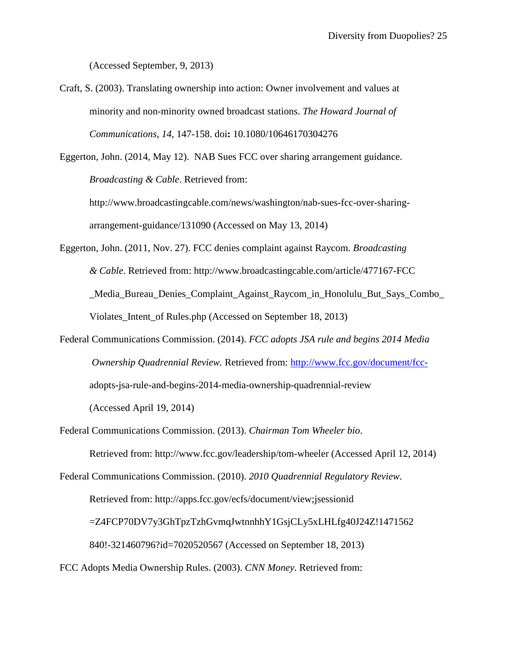(Accessed September, 9, 2013)

Craft, S. (2003). Translating ownership into action: Owner involvement and values at minority and non-minority owned broadcast stations. *The Howard Journal of Communications, 14*, 147-158. doi**:** 10.1080/10646170304276

Eggerton, John. (2014, May 12). NAB Sues FCC over sharing arrangement guidance. *Broadcasting & Cable*. Retrieved from:

[http://www.broadcastingcable.com/news/washington/nab-sues-fcc-over-sharing](http://www.broadcastingcable.com/news/washington/nab-sues-fcc-over-sharing-%20%20%20arrangement-)[arrangement-g](http://www.broadcastingcable.com/news/washington/nab-sues-fcc-over-sharing-%20%20%20arrangement-)uidance/131090 (Accessed on May 13, 2014)

Eggerton, John. (2011, Nov. 27). FCC denies complaint against Raycom. *Broadcasting & Cable*. Retrieved from: http://www.broadcastingcable.com/article/477167-FCC \_Media\_Bureau\_Denies\_Complaint\_Against\_Raycom\_in\_Honolulu\_But\_Says\_Combo\_ Violates\_Intent\_of Rules.php (Accessed on September 18, 2013)

Federal Communications Commission. (2014). *FCC adopts JSA rule and begins 2014 Media Ownership Quadrennial Review.* Retrieved from: [http://www.fcc.gov/document/fcc](http://www.fcc.gov/document/fcc-)adopts-jsa-rule-and-begins-2014-media-ownership-quadrennial-review (Accessed April 19, 2014)

Federal Communications Commission. (2013). *Chairman Tom Wheeler bio*. Retrieved from:<http://www.fcc.gov/leadership/tom-wheeler> (Accessed April 12, 2014)

Federal Communications Commission. (2010). *2010 Quadrennial Regulatory Review*.

Retrieved from: http://apps.fcc.gov/ecfs/document/view;jsessionid

=Z4FCP70DV7y3GhTpzTzhGvmqJwtnnhhY1GsjCLy5xLHLfg40J24Z!1471562

840!-321460796?id=7020520567 (Accessed on September 18, 2013)

FCC Adopts Media Ownership Rules. (2003). *CNN Money*. Retrieved from: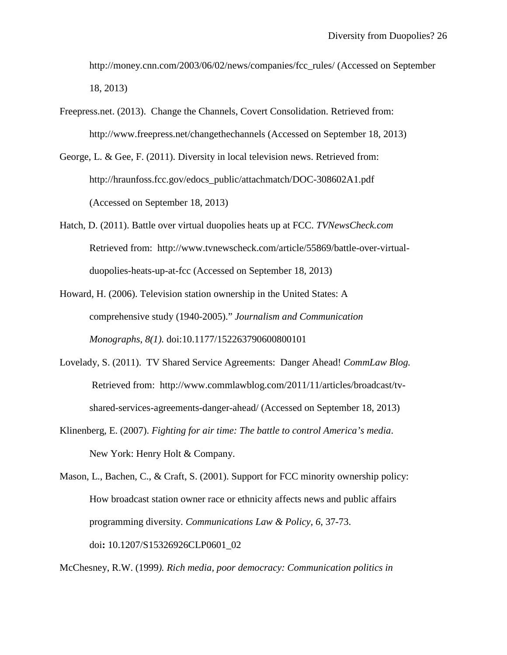http://money.cnn.com/2003/06/02/news/companies/fcc\_rules/ (Accessed on September 18, 2013)

- Freepress.net. (2013). Change the Channels, Covert Consolidation. Retrieved from: http://www.freepress.net/changethechannels (Accessed on September 18, 2013)
- George, L. & Gee, F. (2011). Diversity in local television news. Retrieved from: http://hraunfoss.fcc.gov/edocs\_public/attachmatch/DOC-308602A1.pdf (Accessed on September 18, 2013)
- Hatch, D. (2011). Battle over virtual duopolies heats up at FCC. *TVNewsCheck.com*  Retrieved from: [http://www.tvnewscheck.com/article/55869/battle-over-virtual](http://www.tvnewscheck.com/article/55869/battle-over-virtual-)duopolies-heats-up-at-fcc (Accessed on September 18, 2013)
- Howard, H. (2006). Television station ownership in the United States: A comprehensive study (1940-2005)." *Journalism and Communication Monographs*, *8(1).* doi:10.1177/152263790600800101
- Lovelady, S. (2011). TV Shared Service Agreements: Danger Ahead! *CommLaw Blog.* Retrieved from: [http://www.commlawblog.com/2011/11/articles/broadcast/tv](http://www.commlawblog.com/2011/11/articles/broadcast/tv-)shared-services-agreements-danger-ahead/ (Accessed on September 18, 2013)
- Klinenberg, E. (2007). *Fighting for air time: The battle to control America's media*. New York: Henry Holt & Company.

Mason, L., Bachen, C., & Craft, S. (2001). Support for FCC minority ownership policy: How broadcast station owner race or ethnicity affects news and public affairs programming diversity. *Communications Law & Policy, 6*, 37-73. doi**:** 10.1207/S15326926CLP0601\_02

McChesney, R.W. (1999*). Rich media, poor democracy: Communication politics in*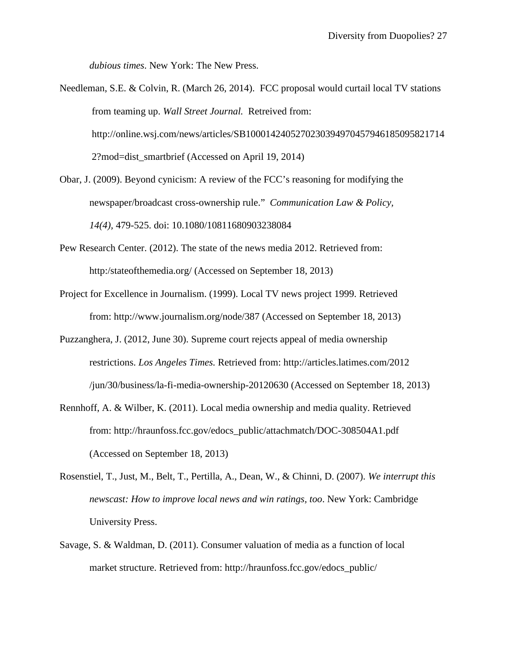*dubious times*. New York: The New Press.

Needleman, S.E. & Colvin, R. (March 26, 2014). FCC proposal would curtail local TV stations from teaming up. *Wall Street Journal.* Retreived from: <http://online.wsj.com/news/articles/SB1000142405270230394970457946185095821714> 2?mod=dist\_smartbrief (Accessed on April 19, 2014)

Obar, J. (2009). Beyond cynicism: A review of the FCC's reasoning for modifying the newspaper/broadcast cross-ownership rule." *Communication Law & Policy, 14(4),* 479-525. doi: 10.1080/10811680903238084

- Pew Research Center. (2012). The state of the news media 2012. Retrieved from: http:/stateofthemedia.org/ (Accessed on September 18, 2013)
- Project for Excellence in Journalism. (1999). Local TV news project 1999. Retrieved from: http://www.journalism.org/node/387 (Accessed on September 18, 2013)
- Puzzanghera, J. (2012, June 30). Supreme court rejects appeal of media ownership restrictions. *Los Angeles Times.* Retrieved from: http://articles.latimes.com/2012 /jun/30/business/la-fi-media-ownership-20120630 (Accessed on September 18, 2013)
- Rennhoff, A. & Wilber, K. (2011). Local media ownership and media quality. Retrieved from: http://hraunfoss.fcc.gov/edocs\_public/attachmatch/DOC-308504A1.pdf (Accessed on September 18, 2013)
- Rosenstiel, T., Just, M., Belt, T., Pertilla, A., Dean, W., & Chinni, D. (2007). *We interrupt this newscast: How to improve local news and win ratings, too*. New York: Cambridge University Press.
- Savage, S. & Waldman, D. (2011). Consumer valuation of media as a function of local market structure. Retrieved from: http://hraunfoss.fcc.gov/edocs\_public/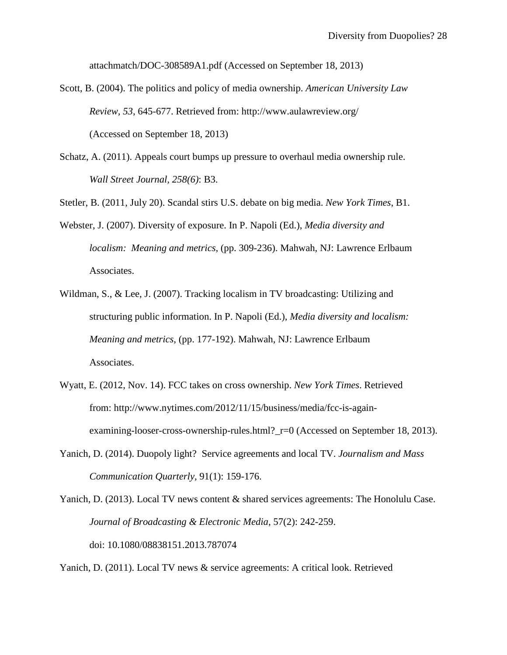attachmatch/DOC-308589A1.pdf (Accessed on September 18, 2013)

- Scott, B. (2004). The politics and policy of media ownership. *American University Law Review, 53*, 645-677. Retrieved from: http://www.aulawreview.org/ (Accessed on September 18, 2013)
- Schatz, A. (2011). Appeals court bumps up pressure to overhaul media ownership rule. *Wall Street Journal, 258(6)*: B3.

Stetler, B. (2011, July 20). Scandal stirs U.S. debate on big media. *New York Times*, B1.

- Webster, J. (2007). Diversity of exposure. In P. Napoli (Ed.), *Media diversity and localism: Meaning and metrics,* (pp. 309-236). Mahwah, NJ: Lawrence Erlbaum Associates.
- Wildman, S., & Lee, J. (2007). Tracking localism in TV broadcasting: Utilizing and structuring public information. In P. Napoli (Ed.), *Media diversity and localism: Meaning and metrics*, (pp. 177-192). Mahwah, NJ: Lawrence Erlbaum Associates.
- Wyatt, E. (2012, Nov. 14). FCC takes on cross ownership. *New York Times*. Retrieved from: http://www.nytimes.com/2012/11/15/business/media/fcc-is-againexamining-looser-cross-ownership-rules.html?\_r=0 (Accessed on September 18, 2013).
- Yanich, D. (2014). Duopoly light? Service agreements and local TV. *Journalism and Mass Communication Quarterly,* 91(1): 159-176.

Yanich, D. (2013). Local TV news content & shared services agreements: The Honolulu Case. *Journal of Broadcasting & Electronic Media*, 57(2): 242-259. doi: 10.1080/08838151.2013.787074

Yanich, D. (2011). Local TV news & service agreements: A critical look. Retrieved